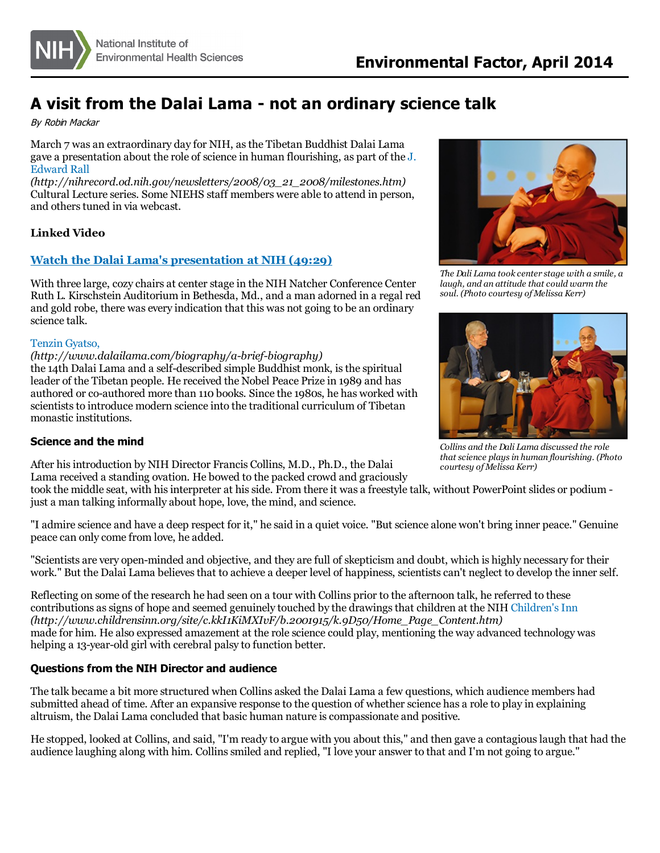

# **A visit from the Dalai Lama - not an ordinary science talk**

By Robin Mackar

March 7 was an extraordinary day for NIH, asthe Tibetan Buddhist Dalai Lama gave a [presentation](http://nihrecord.od.nih.gov/newsletters/2008/03_21_2008/milestones.htm) about the role of science in human flourishing, as part of the J. Edward Rall

*(http://nihrecord.od.nih.gov/newsletters/2008/03\_21\_2008/milestones.htm)* Cultural Lecture series. Some NIEHS staff members were able to attend in person, and others tuned in via webcast.

## **Linked Video**

## **Watch the Dalai Lama's [presentation](http://videocast.nih.gov/summary.asp?Live=13812&bhcp=1) at NIH (49:29)**

With three large, cozy chairs at center stage in the NIH Natcher Conference Center Ruth L. Kirschstein Auditorium in Bethesda, Md., and a man adorned in a regal red and gold robe, there was every indication that this was not going to be an ordinary science talk.

#### Tenzin [Gyatso,](http://www.dalailama.com/biography/a-brief-biography)

#### *(http://www.dalailama.com/biography/a-brief-biography)*

the 14th Dalai Lama and a self-described simple Buddhist monk, isthe spiritual leader of the Tibetan people. He received the Nobel Peace Prize in 1989 and has authored or co-authored more than 110 books. Since the 1980s, he has worked with scientiststo introduce modern science into the traditional curriculum of Tibetan monastic institutions.

#### **Science and the mind**

After hisintroduction by NIH Director Francis Collins, M.D., Ph.D., the Dalai Lama received a standing ovation. He bowed to the packed crowd and graciously

took the middle seat, with hisinterpreter at hisside. From there it was a freestyle talk, without PowerPoint slides or podium just a man talking informally about hope, love, the mind, and science.

"I admire science and have a deep respect for it," he said in a quiet voice. "But science alone won't bring inner peace." Genuine peace can only come from love, he added.

"Scientists are very open-minded and objective, and they are full of skepticism and doubt, which is highly necessary for their work." But the Dalai Lama believes that to achieve a deeper level of happiness, scientists can't neglect to develop the inner self.

Reflecting on some of the research he had seen on a tour with Collins prior to the afternoon talk, he referred to these contributions as signs of hope and seemed genuinely touched by the drawings that children at the NIH Children's Inn *(http://www.childrensinn.org/site/c.kkI1KiMXIvF/b.2001915/k.9D50/Home\_Page\_Content.htm)* made for him. He also expressed amazement at the role science could play, mentioning the way advanced technology was helping a 13-year-old girl with cerebral palsy to function better.

### **Questions from the NIH Director and audience**

The talk became a bit more structured when Collins asked the Dalai Lama a few questions, which audience members had submitted ahead of time. After an expansive response to the question of whether science has a role to play in explaining altruism, the Dalai Lama concluded that basic human nature iscompassionate and positive.

He stopped, looked at Collins, and said, "I'm ready to argue with you about this," and then gave a contagiouslaugh that had the audience laughing along with him. Collinssmiled and replied, "I love your answer to that and I'm not going to argue."



*The Dali Lama took center stage with a smile, a laugh, and an attitude that could warm the soul. (Photo courtesy of Melissa Kerr)*



*Collins and the Dali Lama discussed the role that science playsin human flourishing. (Photo courtesy of Melissa Kerr)*